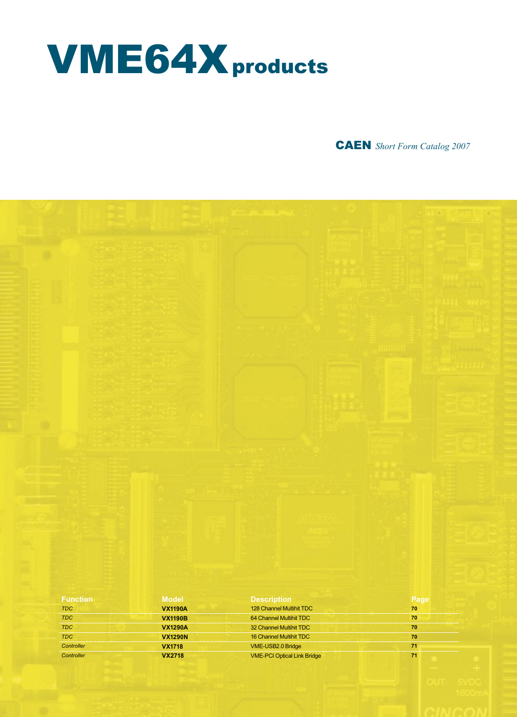# VME64Xproducts

CAEN *Short Form Catalog 2007*

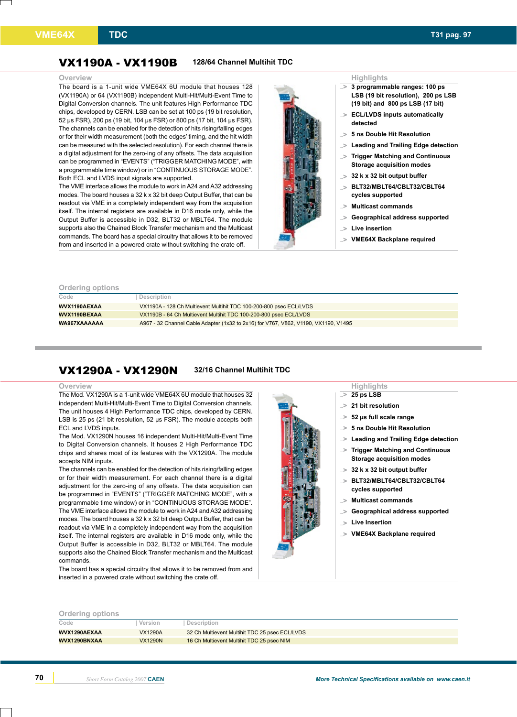## VX1190A - VX1190B **128/64 Channel Multihit TDC**

The board is a 1-unit wide VME64X 6U module that houses 128 (VX1190A) or 64 (VX1190B) independent Multi-Hit/Multi-Event Time to Digital Conversion channels. The unit features High Performance TDC chips, developed by CERN. LSB can be set at 100 ps (19 bit resolution, 52 µs FSR), 200 ps (19 bit, 104 µs FSR) or 800 ps (17 bit, 104 µs FSR). The channels can be enabled for the detection of hits rising/falling edges or for their width measurement (both the edges' timing, and the hit width can be measured with the selected resolution). For each channel there is a digital adjustment for the zero-ing of any offsets. The data acquisition can be programmed in "EVENTS" ("TRIGGER MATCHING MODE", with a programmable time window) or in "CONTINUOUS STORAGE MODE". Both ECL and LVDS input signals are supported.

The VME interface allows the module to work in A24 and A32 addressing modes. The board houses a 32 k x 32 bit deep Output Buffer, that can be readout via VME in a completely independent way from the acquisition itself. The internal registers are available in D16 mode only, while the Output Buffer is accessible in D32, BLT32 or MBLT64. The module supports also the Chained Block Transfer mechanism and the Multicast commands. The board has a special circuitry that allows it to be removed from and inserted in a powered crate without switching the crate off.



- **3 programmable ranges: 100 ps LSB (19 bit resolution), 200 ps LSB (19 bit) and 800 ps LSB (17 bit) ...**>
- **ECL/LVDS inputs automatically ...**> **detected**
- **5 ns Double Hit Resolution ...**>
- **Leading and Trailing Edge detection ...**>
- **Trigger Matching and Continuous Storage acquisition modes ...**>
- **32 k x 32 bit output buffer ...**>
- **BLT32/MBLT64/CBLT32/CBLT64 cycles supported ...**>
- **Multicast commands ...**>
- **Geographical address supported ...**>
- **Live insertion ...**>
- **VME64X Backplane required ...**>

## **Ordering options**

| Code         | Description                                                                         |
|--------------|-------------------------------------------------------------------------------------|
|              |                                                                                     |
| WVX1190AEXAA | VX1190A - 128 Ch Multievent Multihit TDC 100-200-800 psec ECL/LVDS                  |
|              |                                                                                     |
| WVX1190BEXAA | VX1190B - 64 Ch Multievent Multihit TDC 100-200-800 psec ECL/LVDS                   |
|              |                                                                                     |
| WA967XAAAAAA | A967 - 32 Channel Cable Adapter (1x32 to 2x16) for V767, V862, V1190, VX1190, V1495 |
|              |                                                                                     |

# VX1290A - VX1290N **32/16 Channel Multihit TDC**

## **Overview Highlights**

The Mod. VX1290A is a 1-unit wide VME64X 6U module that houses 32 independent Multi-Hit/Multi-Event Time to Digital Conversion channels. The unit houses 4 High Performance TDC chips, developed by CERN. LSB is 25 ps (21 bit resolution, 52 us FSR). The module accepts both ECL and LVDS inputs.

The Mod. VX1290N houses 16 independent Multi-Hit/Multi-Event Time to Digital Conversion channels. It houses 2 High Performance TDC chips and shares most of its features with the VX1290A. The module accepts NIM inputs.

The channels can be enabled for the detection of hits rising/falling edges or for their width measurement. For each channel there is a digital adjustment for the zero-ing of any offsets. The data acquisition can be programmed in "EVENTS" ("TRIGGER MATCHING MODE", with a programmable time window) or in "CONTINUOUS STORAGE MODE". The VME interface allows the module to work in A24 and A32 addressing modes. The board houses a 32 k x 32 bit deep Output Buffer, that can be readout via VME in a completely independent way from the acquisition itself. The internal registers are available in D16 mode only, while the Output Buffer is accessible in D32, BLT32 or MBLT64. The module supports also the Chained Block Transfer mechanism and the Multicast commands.

The board has a special circuitry that allows it to be removed from and inserted in a powered crate without switching the crate off.

### **25 ps LSB 21 bit resolution ...**>

- **...**>
- **52 µs full scale range ...**>
- **5 ns Double Hit Resolution ...**>
- **Leading and Trailing Edge detection ...**>
- **Trigger Matching and Continuous Storage acquisition modes ...**>
- **32 k x 32 bit output buffer ...**>
- **BLT32/MBLT64/CBLT32/CBLT64 cycles supported ...**>
- **Multicast commands ...**>
- **Geographical address supported ...**>
- **Live Insertion ...**>
- **VME64X Backplane required ...**>

**Ordering options**

| Code         | Version        | Description                                    |
|--------------|----------------|------------------------------------------------|
| WVX1290AEXAA | <b>VX1290A</b> | 32 Ch Multievent Multihit TDC 25 psec ECL/LVDS |
| WVX1290BNXAA | <b>VX1290N</b> | 16 Ch Multievent Multihit TDC 25 psec NIM      |